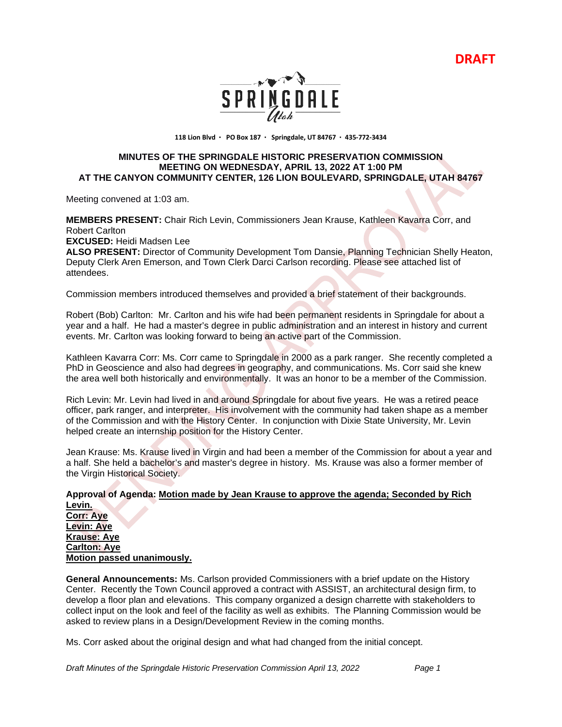**DRAFT**



**118 Lion Blvd PO Box 187 Springdale, UT 84767 435-772-3434** 

## **MINUTES OF THE SPRINGDALE HISTORIC PRESERVATION COMMISSION MEETING ON WEDNESDAY, APRIL 13, 2022 AT 1:00 PM AT THE CANYON COMMUNITY CENTER, 126 LION BOULEVARD, SPRINGDALE, UTAH 84767**

Meeting convened at 1:03 am.

**MEMBERS PRESENT:** Chair Rich Levin, Commissioners Jean Krause, Kathleen Kavarra Corr, and Robert Carlton

**EXCUSED:** Heidi Madsen Lee

**ALSO PRESENT:** Director of Community Development Tom Dansie, Planning Technician Shelly Heaton, Deputy Clerk Aren Emerson, and Town Clerk Darci Carlson recording. Please see attached list of attendees.

Commission members introduced themselves and provided a brief statement of their backgrounds.

Robert (Bob) Carlton: Mr. Carlton and his wife had been permanent residents in Springdale for about a year and a half. He had a master's degree in public administration and an interest in history and current events. Mr. Carlton was looking forward to being an active part of the Commission.

Kathleen Kavarra Corr: Ms. Corr came to Springdale in 2000 as a park ranger. She recently completed a PhD in Geoscience and also had degrees in geography, and communications. Ms. Corr said she knew the area well both historically and environmentally. It was an honor to be a member of the Commission.

Rich Levin: Mr. Levin had lived in and around Springdale for about five years. He was a retired peace officer, park ranger, and interpreter. His involvement with the community had taken shape as a member of the Commission and with the History Center. In conjunction with Dixie State University, Mr. Levin helped create an internship position for the History Center.

Jean Krause: Ms. Krause lived in Virgin and had been a member of the Commission for about a year and a half. She held a bachelor's and master's degree in history. Ms. Krause was also a former member of the Virgin Historical Society.

### **Approval of Agenda: Motion made by Jean Krause to approve the agenda; Seconded by Rich Levin. Corr: Aye Levin: Aye Krause: Aye Carlton: Aye Motion passed unanimously.**

**General Announcements:** Ms. Carlson provided Commissioners with a brief update on the History Center. Recently the Town Council approved a contract with ASSIST, an architectural design firm, to develop a floor plan and elevations. This company organized a design charrette with stakeholders to collect input on the look and feel of the facility as well as exhibits. The Planning Commission would be asked to review plans in a Design/Development Review in the coming months.

Ms. Corr asked about the original design and what had changed from the initial concept.

*Draft Minutes of the Springdale Historic Preservation Commission April 13, 2022 Page 1*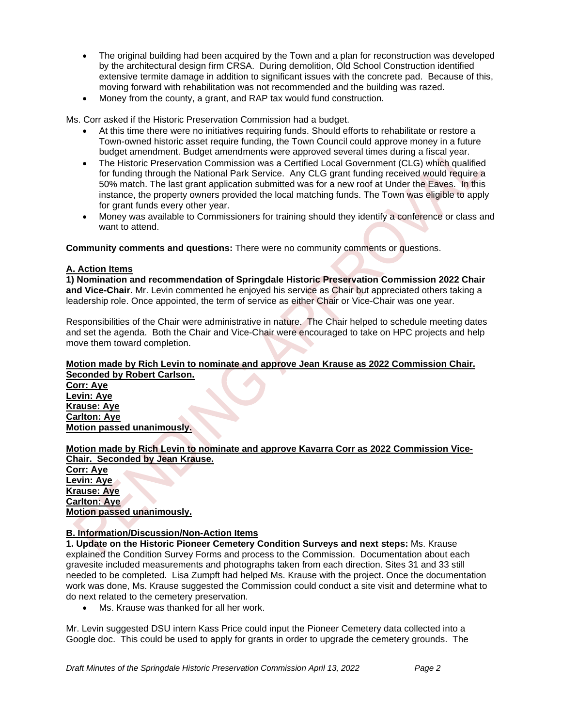- The original building had been acquired by the Town and a plan for reconstruction was developed by the architectural design firm CRSA. During demolition, Old School Construction identified extensive termite damage in addition to significant issues with the concrete pad. Because of this, moving forward with rehabilitation was not recommended and the building was razed.
- Money from the county, a grant, and RAP tax would fund construction.

Ms. Corr asked if the Historic Preservation Commission had a budget.

- At this time there were no initiatives requiring funds. Should efforts to rehabilitate or restore a Town-owned historic asset require funding, the Town Council could approve money in a future budget amendment. Budget amendments were approved several times during a fiscal year.
- The Historic Preservation Commission was a Certified Local Government (CLG) which qualified for funding through the National Park Service. Any CLG grant funding received would require a 50% match. The last grant application submitted was for a new roof at Under the Eaves. In this instance, the property owners provided the local matching funds. The Town was eligible to apply for grant funds every other year.
- Money was available to Commissioners for training should they identify a conference or class and want to attend.

**Community comments and questions:** There were no community comments or questions.

## **A. Action Items**

**1) Nomination and recommendation of Springdale Historic Preservation Commission 2022 Chair and Vice-Chair.** Mr. Levin commented he enjoyed his service as Chair but appreciated others taking a leadership role. Once appointed, the term of service as either Chair or Vice-Chair was one year.

Responsibilities of the Chair were administrative in nature. The Chair helped to schedule meeting dates and set the agenda. Both the Chair and Vice-Chair were encouraged to take on HPC projects and help move them toward completion.

#### **Motion made by Rich Levin to nominate and approve Jean Krause as 2022 Commission Chair. Seconded by Robert Carlson.**

**Corr: Aye Levin: Aye Krause: Aye Carlton: Aye Motion passed unanimously.**

# **Motion made by Rich Levin to nominate and approve Kavarra Corr as 2022 Commission Vice-Chair. Seconded by Jean Krause.**

**Corr: Aye Levin: Aye Krause: Aye Carlton: Aye Motion passed unanimously.**

# **B. Information/Discussion/Non-Action Items**

**1. Update on the Historic Pioneer Cemetery Condition Surveys and next steps:** Ms. Krause explained the Condition Survey Forms and process to the Commission. Documentation about each gravesite included measurements and photographs taken from each direction. Sites 31 and 33 still needed to be completed. Lisa Zumpft had helped Ms. Krause with the project. Once the documentation work was done, Ms. Krause suggested the Commission could conduct a site visit and determine what to do next related to the cemetery preservation.

• Ms. Krause was thanked for all her work.

Mr. Levin suggested DSU intern Kass Price could input the Pioneer Cemetery data collected into a Google doc. This could be used to apply for grants in order to upgrade the cemetery grounds. The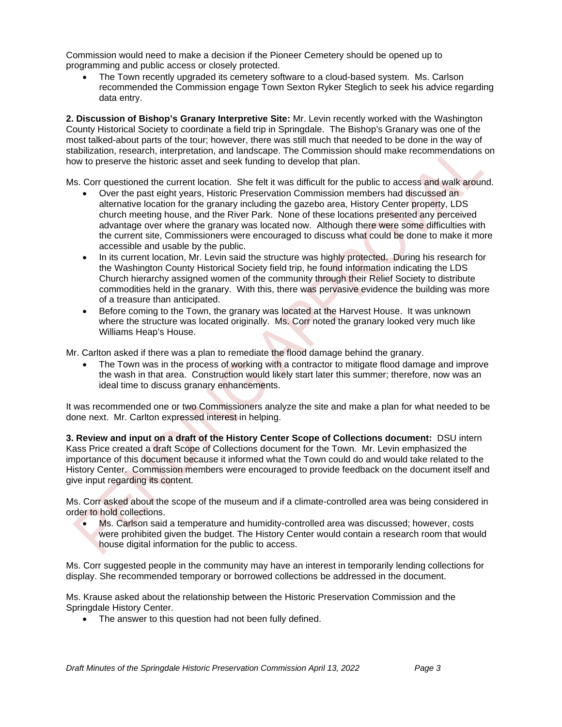Commission would need to make a decision if the Pioneer Cemetery should be opened up to programming and public access or closely protected.

• The Town recently upgraded its cemetery software to a cloud-based system. Ms. Carlson recommended the Commission engage Town Sexton Ryker Steglich to seek his advice regarding data entry.

**2. Discussion of Bishop's Granary Interpretive Site:** Mr. Levin recently worked with the Washington County Historical Society to coordinate a field trip in Springdale. The Bishop's Granary was one of the most talked-about parts of the tour; however, there was still much that needed to be done in the way of stabilization, research, interpretation, and landscape. The Commission should make recommendations on how to preserve the historic asset and seek funding to develop that plan.

Ms. Corr questioned the current location. She felt it was difficult for the public to access and walk around.

- Over the past eight years, Historic Preservation Commission members had discussed an alternative location for the granary including the gazebo area, History Center property, LDS church meeting house, and the River Park. None of these locations presented any perceived advantage over where the granary was located now. Although there were some difficulties with the current site, Commissioners were encouraged to discuss what could be done to make it more accessible and usable by the public.
- In its current location, Mr. Levin said the structure was highly protected. During his research for the Washington County Historical Society field trip, he found information indicating the LDS Church hierarchy assigned women of the community through their Relief Society to distribute commodities held in the granary. With this, there was pervasive evidence the building was more of a treasure than anticipated.
- Before coming to the Town, the granary was located at the Harvest House. It was unknown where the structure was located originally. Ms. Corr noted the granary looked very much like Williams Heap's House.

Mr. Carlton asked if there was a plan to remediate the flood damage behind the granary.

• The Town was in the process of working with a contractor to mitigate flood damage and improve the wash in that area. Construction would likely start later this summer; therefore, now was an ideal time to discuss granary enhancements.

It was recommended one or two Commissioners analyze the site and make a plan for what needed to be done next. Mr. Carlton expressed interest in helping.

**3. Review and input on a draft of the History Center Scope of Collections document:** DSU intern Kass Price created a draft Scope of Collections document for the Town. Mr. Levin emphasized the importance of this document because it informed what the Town could do and would take related to the History Center. Commission members were encouraged to provide feedback on the document itself and give input regarding its content.

Ms. Corr asked about the scope of the museum and if a climate-controlled area was being considered in order to hold collections.

• Ms. Carlson said a temperature and humidity-controlled area was discussed; however, costs were prohibited given the budget. The History Center would contain a research room that would house digital information for the public to access.

Ms. Corr suggested people in the community may have an interest in temporarily lending collections for display. She recommended temporary or borrowed collections be addressed in the document.

Ms. Krause asked about the relationship between the Historic Preservation Commission and the Springdale History Center.

The answer to this question had not been fully defined.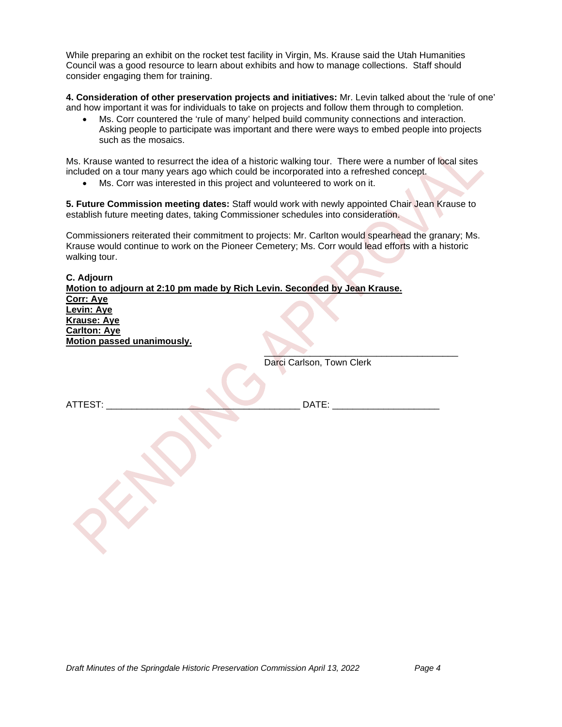While preparing an exhibit on the rocket test facility in Virgin, Ms. Krause said the Utah Humanities Council was a good resource to learn about exhibits and how to manage collections. Staff should consider engaging them for training.

**4. Consideration of other preservation projects and initiatives:** Mr. Levin talked about the 'rule of one' and how important it was for individuals to take on projects and follow them through to completion.

• Ms. Corr countered the 'rule of many' helped build community connections and interaction. Asking people to participate was important and there were ways to embed people into projects such as the mosaics.

Ms. Krause wanted to resurrect the idea of a historic walking tour. There were a number of local sites included on a tour many years ago which could be incorporated into a refreshed concept.

• Ms. Corr was interested in this project and volunteered to work on it.

**5. Future Commission meeting dates:** Staff would work with newly appointed Chair Jean Krause to establish future meeting dates, taking Commissioner schedules into consideration.

Commissioners reiterated their commitment to projects: Mr. Carlton would spearhead the granary; Ms. Krause would continue to work on the Pioneer Cemetery; Ms. Corr would lead efforts with a historic walking tour.

**C. Adjourn Motion to adjourn at 2:10 pm made by Rich Levin. Seconded by Jean Krause. Corr: Aye Levin: Aye Krause: Aye Carlton: Aye Motion passed unanimously.**  $\overline{\phantom{a}}$ Darci Carlson, Town Clerk ATTEST: \_\_\_\_\_\_\_\_\_\_\_\_\_\_\_\_\_\_\_\_\_\_\_\_\_\_\_\_\_\_\_\_\_\_\_\_\_\_ DATE: \_\_\_\_\_\_\_\_\_\_\_\_\_\_\_\_\_\_\_\_\_